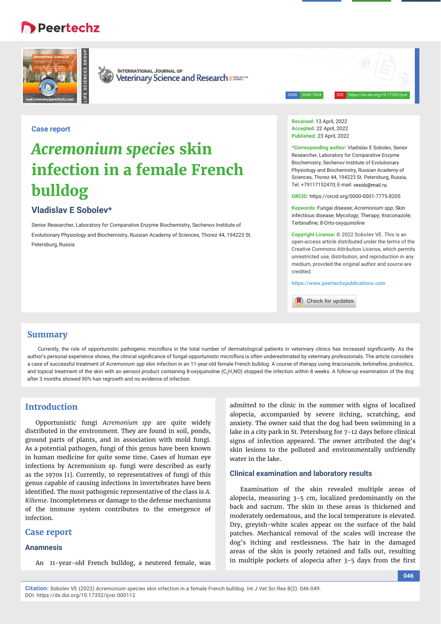# **Peertechz**





**INTERNATIONAL JOURNAL OF** Veterinary Science and Research assessed

ISSN: 2640-7604 DOI: https://dx.doi.org/10.17352/ijvsr

# **Case report**

# *Acremonium species* **skin infection in a female French bulldog**

# **Vladislav E Sobolev\***

Senior Researcher, Laboratory for Comparative Enzyme Biochemistry, Sechenov Institute of Evolutionary Physiology and Biochemistry, Russian Academy of Sciences, Thorez 44, 194223 St. Petersburg, Russia

**Received:** 13 April, 2022 **Accepted:** 22 April, 2022 **Published:** 23 April, 2022

**\*Corresponding author:** Vladislav E Sobolev, Senior Researcher, Laboratory for Comparative Enzyme Biochemistry, Sechenov Institute of Evolutionary Physiology and Biochemistry, Russian Academy of Sciences, Thorez 44, 194223 St. Petersburg, Russia Tel: +79117152470; E-mail:

**ORCID:** https://orcid.org/0000-0001-7775-8205

**Keywords:** Fungai disease; *Acremonium spp*; Skin infectious disease; Mycology; Therapy; Itraconazole; Terbinafine; 8-Orto-oxyquinoline

**Copyright License:** © 2022 Sobolev VE. This is an open-access article distributed under the terms of the Creative Commons Attribution License, which permits unrestricted use, distribution, and reproduction in any medium, provided the original author and source are credited.

**https://www.peertechzpublications.com**

Check for updates

### **Summary**

Currently, the role of opportunistic pathogenic microflora in the total number of dermatological patients in veterinary clinics has increased significantly. As the author's personal experience shows, the clinical significance of fungal opportunistic microflora is often underestimated by veterinary professionals. The article considers a case of successful treatment of *Acremonium spp* skin infection in an 11-year-old female French bulldog. A course of therapy using itraconazole, terbinafine, probiotics, and topical treatment of the skin with an aerosol product containing 8-oxyquinoline (C<sub>9</sub>H<sub>7</sub>NO) stopped the infection within 8 weeks. A follow-up examination of the dog after 3 months showed 90% hair regrowth and no evidence of infection.

# **Introduction**

Opportunistic fungi *Acremonium spp* are quite widely distributed in the environment. They are found in soil, ponds, ground parts of plants, and in association with mold fungi. As a potential pathogen, fungi of this genus have been known in human medicine for quite some time. Cases of human eye infections by Acremonium sp. fungi were described as early as the 1970s [1]. Currently, 10 representatives of fungi of this genus capable of causing infections in invertebrates have been identified. The most pathogenic representative of the class is A. *Kiliense*. Incompleteness or damage to the defense mechanisms of the immune system contributes to the emergence of infection.

#### **Case report**

#### **Anamnesis**

An 11-year-old French bulldog, a neutered female, was

admitted to the clinic in the summer with signs of localized alopecia, accompanied by severe itching, scratching, and anxiety. The owner said that the dog had been swimming in a lake in a city park in St. Petersburg for 7-12 days before clinical signs of infection appeared. The owner attributed the dog's skin lesions to the polluted and environmentally unfriendly water in the lake.

#### **Clinical examination and laboratory results**

Examination of the skin revealed multiple areas of alopecia, measuring 3-5 cm, localized predominantly on the back and sacrum. The skin in these areas is thickened and moderately oedematous, and the local temperature is elevated. Dry, greyish-white scales appear on the surface of the bald patches. Mechanical removal of the scales will increase the dog's itching and restlessness. The hair in the damaged areas of the skin is poorly retained and falls out, resulting in multiple pockets of alopecia after  $3-5$  days from the first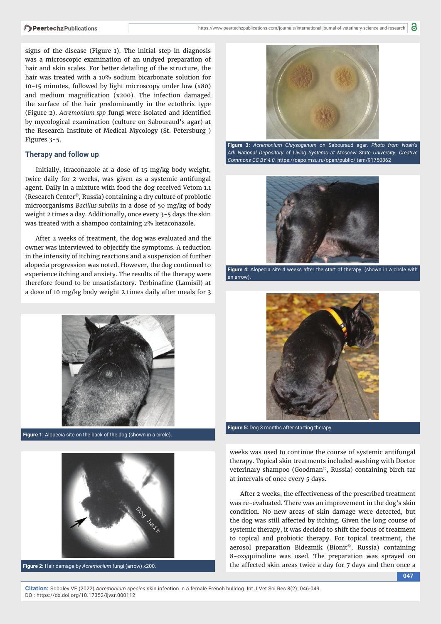signs of the disease (Figure 1). The initial step in diagnosis was a microscopic examination of an undyed preparation of hair and skin scales. For better detailing of the structure, the hair was treated with a 10% sodium bicarbonate solution for 10-15 minutes, followed by light microscopy under low (x80) and medium magnification (x200). The infection damaged the surface of the hair predominantly in the ectothrix type (Figure 2). Acremonium spp fungi were isolated and identified by mycological examination (culture on Sabouraud's agar) at the Research Institute of Medical Mycology (St. Petersburg ) Figures 3-5.

#### **Therapy and follow up**

Initially, itraconazole at a dose of 15 mg/kg body weight, twice daily for 2 weeks, was given as a systemic antifungal agent. Daily in a mixture with food the dog received Vetom 1.1 (Research Center©, Russia) containing a dry culture of probiotic microorganisms *Bacillus subtilis* in a dose of 50 mg/kg of body weight 2 times a day. Additionally, once every 3-5 days the skin was treated with a shampoo containing 2% ketaconazole.

After 2 weeks of treatment, the dog was evaluated and the owner was interviewed to objectify the symptoms. A reduction in the intensity of itching reactions and a suspension of further alopecia progression was noted. However, the dog continued to experience itching and anxiety. The results of the therapy were therefore found to be unsatisfactory. Terbinafine (Lamisil) at a dose of 10 mg/kg body weight 2 times daily after meals for 3



**Figure 1:** Alopecia site on the back of the dog (shown in a circle).



**Figure 2:** Hair damage by *Acremonium* fungi (arrow) х200.



**Figure 3:** *Acremonium Chrysogenum* on Sabouraud agar. *Photo from Noah's Ark National Depository of Living Systems at Moscow State University. Creative Commons CC BY 4.0.* https://depo.msu.ru/open/public/item/91750862



**Figure 4:** Alopecia site 4 weeks after the start of therapy. (shown in a circle with an arrow).



**Figure 5:** Dog 3 months after starting therapy.

weeks was used to continue the course of systemic antifungal therapy. Topical skin treatments included washing with Doctor veterinary shampoo (Goodman©, Russia) containing birch tar at intervals of once every 5 days.

After 2 weeks, the effectiveness of the prescribed treatment was re-evaluated. There was an improvement in the dog's skin condition. No new areas of skin damage were detected, but the dog was still affected by itching. Given the long course of systemic therapy, it was decided to shift the focus of treatment to topical and probiotic therapy. For topical treatment, the aerosol preparation Bidezmik (Bionit©, Russia) containing 8-oxyquinoline was used. The preparation was sprayed on the affected skin areas twice a day for 7 days and then once a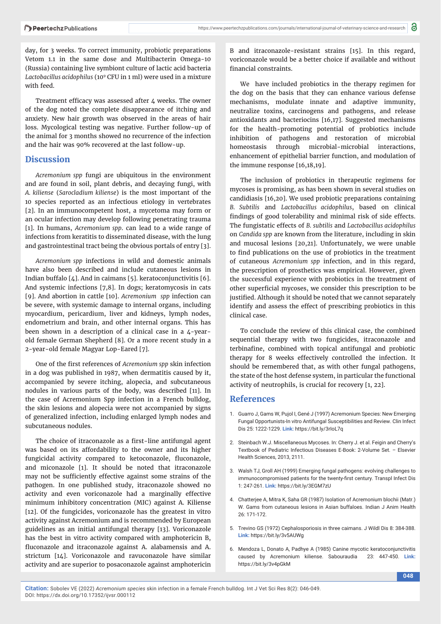day, for 3 weeks. To correct immunity, probiotic preparations Vetom 1.1 in the same dose and Multibacterin Omega-10 (Russia) containing live symbiont culture of lactic acid bacteria *Lactobacillus acidophilus* (109 CFU in 1 ml) were used in a mixture with feed.

Treatment efficacy was assessed after  $4$  weeks. The owner of the dog noted the complete disappearance of itching and anxiety. New hair growth was observed in the areas of hair loss. Mycological testing was negative. Further follow-up of the animal for 3 months showed no recurrence of the infection and the hair was 90% recovered at the last follow-up.

# **Discussion**

*Acremonium spp* fungi are ubiquitous in the environment and are found in soil, plant debris, and decaying fungi, with *A. kiliense* (*Sarocladium kiliense*) is the most important of the 10 species reported as an infectious etiology in vertebrates [2]. In an immunocompetent host, a mycetoma may form or an ocular infection may develop following penetrating trauma [1]. In humans, *Acremonium spp*. can lead to a wide range of infections from keratitis to disseminated disease, with the lung and gastrointestinal tract being the obvious portals of entry [3].

*Acremonium spp* infections in wild and domestic animals have also been described and include cutaneous lesions in Indian buffalo [4]. And in caimans [5]. keratoconjunctivitis [6]. And systemic infections [7,8]. In dogs; keratomycosis in cats [9]. And abortion in cattle [10]. *Acremonium spp* infection can be severe, with systemic damage to internal organs, including myocardium, pericardium, liver and kidneys, lymph nodes, endometrium and brain, and other internal organs. This has been shown in a description of a clinical case in a 4-yearold female German Shepherd [8]. Or a more recent study in a 2-year-old female Magyar Lop-Eared [7].

One of the first references of *Acremonium spp* skin infection in a dog was published in 1987, when dermatitis caused by it, accompanied by severe itching, alopecia, and subcutaneous nodules in various parts of the body, was described [11]. In the case of Acremonium Spp infection in a French bulldog, the skin lesions and alopecia were not accompanied by signs of generalized infection, including enlarged lymph nodes and subcutaneous nodules.

The choice of itraconazole as a first-line antifungal agent was based on its affordability to the owner and its higher fungicidal activity compared to ketoconazole, fluconazole, and miconazole [1]. It should be noted that itraconazole may not be sufficiently effective against some strains of the pathogen. In one published study, itraconazole showed no activity and even voriconazole had a marginally effective minimum inhibitory concentration (MIC) against A. Kiliense [12]. Of the fungicides, voriconazole has the greatest in vitro activity against Acremonium and is recommended by European guidelines as an initial antifungal therapy [13]. Voriconazole has the best in vitro activity compared with amphotericin B, fluconazole and itraconazole against A. alabamensis and A. strictum [14]. Voriconazole and ravuconazole have similar activity and are superior to posaconazole against amphotericin

B and itraconazole-resistant strains [15]. In this regard, voriconazole would be a better choice if available and without financial constraints.

We have included probiotics in the therapy regimen for the dog on the basis that they can enhance various defense mechanisms, modulate innate and adaptive immunity, neutralize toxins, carcinogens and pathogens, and release antioxidants and bacteriocins [16,17]. Suggested mechanisms for the health-promoting potential of probiotics include inhibition of pathogens and restoration of microbial homeostasis through microbial-microbial interactions, enhancement of epithelial barrier function, and modulation of the immune response [16,18,19].

The inclusion of probiotics in therapeutic regimens for mycoses is promising, as has been shown in several studies on candidiasis [16,20]. We used probiotic preparations containing *B. Subtilis* and *Lactobacillus acidophilus*, based on clinical findings of good tolerability and minimal risk of side effects. The fungistatic effects of *B. subtilis* and *Lactobacillus acidophilus* on *Candida spp* are known from the literature, including in skin and mucosal lesions [20,21]. Unfortunately, we were unable to find publications on the use of probiotics in the treatment of cutaneous *Acremonium spp* infection, and in this regard, the prescription of prosthetics was empirical. However, given the successful experience with probiotics in the treatment of other superficial mycoses, we consider this prescription to be justified. Although it should be noted that we cannot separately identify and assess the effect of prescribing probiotics in this clinical case.

To conclude the review of this clinical case, the combined sequential therapy with two fungicides, itraconazole and terbinafine, combined with topical antifungal and probiotic therapy for 8 weeks effectively controlled the infection. It should be remembered that, as with other fungal pathogens, the state of the host defense system, in particular the functional activity of neutrophils, is crucial for recovery [1, 22].

# **References**

- 1. Guarro J, Gams W, Pujol I, Gené J (1997) Acremonium Species: New Emerging Fungal Opportunists-In vitro Antifungal Susceptibilities and Review. Clin Infect Dis 25: 1222-1229. **Link:** https://bit.ly/3rIoL7q
- 2. Steinbach W.J. Miscellaneous Mycoses. In: Cherry J. et al. Feigin and Cherry's Textbook of Pediatric Infectious Diseases E-Book: 2-Volume Set. – Elsevier Health Sciences, 2013, 2111.
- 3. Walsh TJ, Groll AH (1999) Emerging fungal pathogens: evolving challenges to immunocompromised patients for the twenty-first century. Transpl Infect Dis 1: 247-261. **Link:** https://bit.ly/3EGM7zU
- 4. Chatterjee A, Mitra K, Saha GR (1987) Isolation of Acremonium blochii (Matr.) W. Gams from cutaneous lesions in Asian buffaloes. Indian J Anim Health 26: 171-172.
- 5. Trevino GS (1972) Cephalosporiosis in three caimans. J Wildl Dis 8: 384-388. **Link:** https://bit.ly/3v5AUWg
- 6. Mendoza L, Donato A, Padhye A (1985) Canine mycotic keratoconjunctivitis caused by Acremonium kiliense. Sabouraudia 23: 447-450. **Link:** https://bit.ly/3v4pGkM